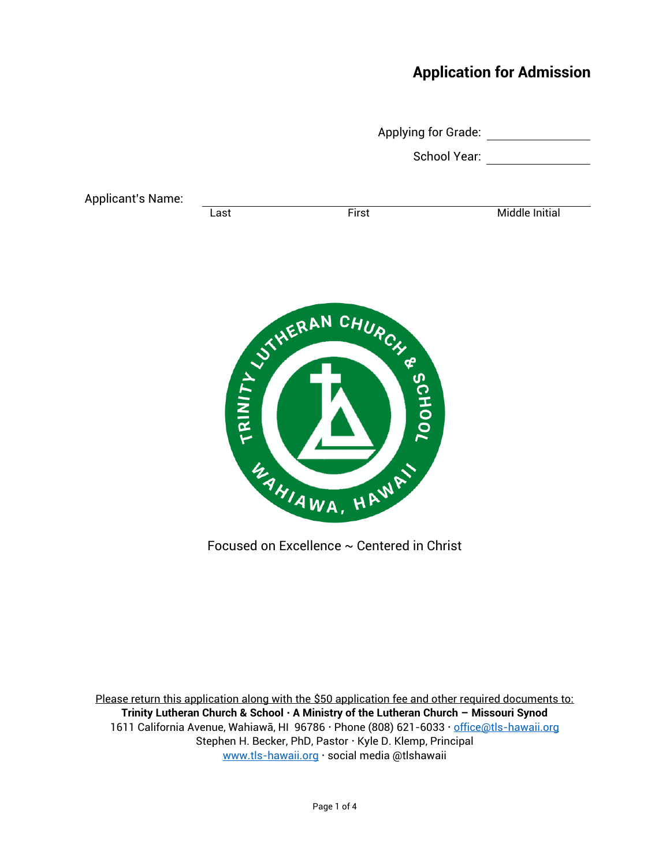## **Application for Admission**

|                          | Applying for Grade:<br>School Year: |                      |                       |
|--------------------------|-------------------------------------|----------------------|-----------------------|
|                          |                                     |                      |                       |
| <b>Applicant's Name:</b> | Last                                | First                | <b>Middle Initial</b> |
|                          |                                     |                      |                       |
|                          |                                     |                      |                       |
|                          |                                     |                      |                       |
|                          |                                     | ENDROYS WERAN CHURCH |                       |
|                          |                                     |                      |                       |
|                          |                                     |                      |                       |
|                          |                                     |                      |                       |
|                          |                                     | WAHIAWA, HAWAY       |                       |
|                          |                                     |                      |                       |

Focused on Excellence ~ Centered in Christ

Please return this application along with the \$50 application fee and other required documents to: **Trinity Lutheran Church & School A Ministry of the Lutheran Church – Missouri Synod** 1611 California Avenue, Wahiawā, HI 96786 · Phone (808) 621-6033 · [office@tls-hawaii.org](mailto:office@tls-hawaii.org) Stephen H. Becker, PhD, Pastor · Kyle D. Klemp, Principal [www.tls-hawaii.org](http://www.tls-hawaii.org/) · social media @tlshawaii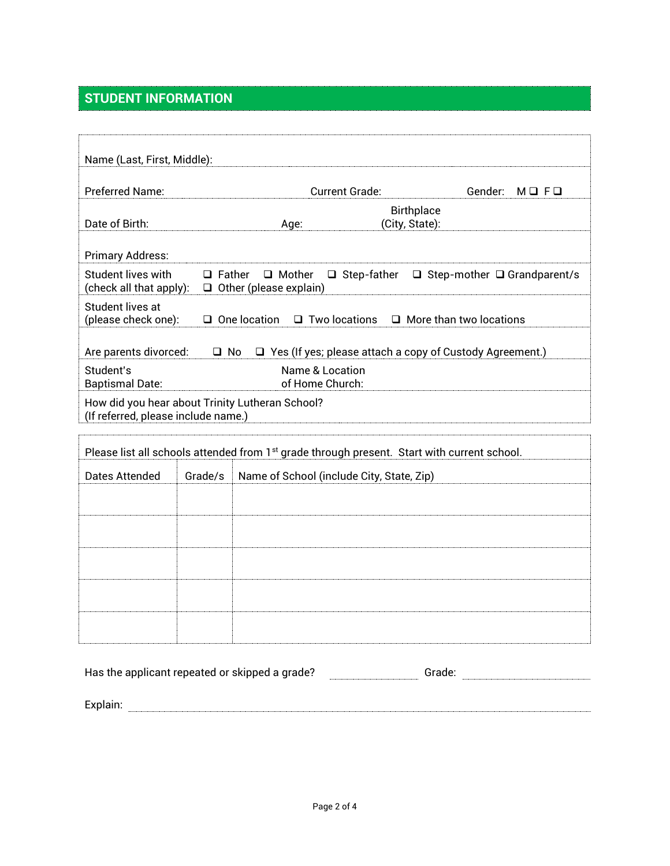# **STUDENT INFORMATION**

| Name (Last, First, Middle):                          |               |                                                                                                         |                                         |  |
|------------------------------------------------------|---------------|---------------------------------------------------------------------------------------------------------|-----------------------------------------|--|
| Preferred Name:                                      |               | <b>Current Grade:</b>                                                                                   | Gender:<br>$M \square$ F $\square$      |  |
| Date of Birth:                                       |               | <b>Birthplace</b><br>(City, State):<br>Age:                                                             |                                         |  |
| <b>Primary Address:</b>                              |               |                                                                                                         |                                         |  |
| <b>Student lives with</b><br>(check all that apply): | $\Box$ Father | $\Box$ Step-father<br>$\Box$ Mother<br>$\Box$ Other (please explain)                                    | $\Box$ Step-mother $\Box$ Grandparent/s |  |
| Student lives at<br>(please check one):              |               | $\Box$ One location<br>$\Box$ Two locations                                                             | $\Box$ More than two locations          |  |
| Are parents divorced:                                | $\Box$ No     | $\Box$ Yes (If yes; please attach a copy of Custody Agreement.)                                         |                                         |  |
| Student's<br><b>Baptismal Date:</b>                  |               | Name & Location<br>of Home Church:                                                                      |                                         |  |
| (If referred, please include name.)                  |               | How did you hear about Trinity Lutheran School?                                                         |                                         |  |
|                                                      |               | Please list all schools attended from 1 <sup>st</sup> grade through present. Start with current school. |                                         |  |
| Dates Attended                                       | Grade/s       | Name of School (include City, State, Zip)                                                               |                                         |  |
|                                                      |               |                                                                                                         |                                         |  |
|                                                      |               |                                                                                                         |                                         |  |
|                                                      |               |                                                                                                         |                                         |  |
|                                                      |               |                                                                                                         |                                         |  |
|                                                      |               |                                                                                                         |                                         |  |
|                                                      |               | Has the applicant repeated or skipped a grade?                                                          |                                         |  |
|                                                      |               |                                                                                                         |                                         |  |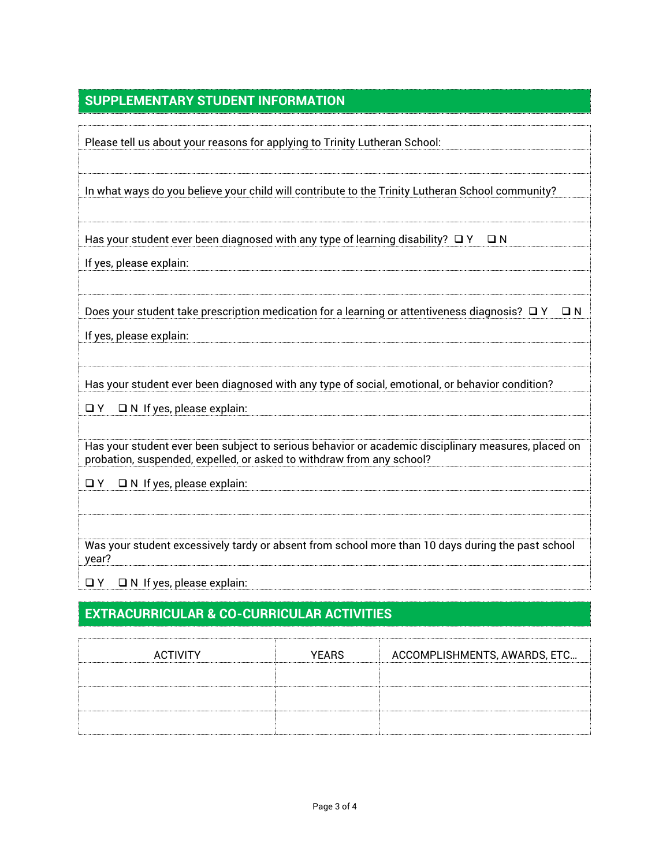### **SUPPLEMENTARY STUDENT INFORMATION**

| Please tell us about your reasons for applying to Trinity Lutheran School:                                                                                                   |
|------------------------------------------------------------------------------------------------------------------------------------------------------------------------------|
| In what ways do you believe your child will contribute to the Trinity Lutheran School community?                                                                             |
| Has your student ever been diagnosed with any type of learning disability? $\Box$ Y $\Box$ N                                                                                 |
| If yes, please explain:                                                                                                                                                      |
| Does your student take prescription medication for a learning or attentiveness diagnosis? $\Box$ Y<br>$\Box N$                                                               |
| If yes, please explain:                                                                                                                                                      |
| Has your student ever been diagnosed with any type of social, emotional, or behavior condition?                                                                              |
| $\Box$ N If yes, please explain:<br>O Y                                                                                                                                      |
| Has your student ever been subject to serious behavior or academic disciplinary measures, placed on<br>probation, suspended, expelled, or asked to withdraw from any school? |
| $\Box$ N If yes, please explain:<br>$\Box$ Y                                                                                                                                 |
|                                                                                                                                                                              |
| Was your student excessively tardy or absent from school more than 10 days during the past school<br>year?                                                                   |
| $\Box$ N If yes, please explain:<br>O Y                                                                                                                                      |

## **EXTRACURRICULAR & CO-CURRICULAR ACTIVITIES**

| <b>ACTIVITY</b> | <b>YEARS</b> | ACCOMPLISHMENTS, AWARDS, ETC |
|-----------------|--------------|------------------------------|
|                 |              |                              |
|                 |              |                              |
|                 |              |                              |